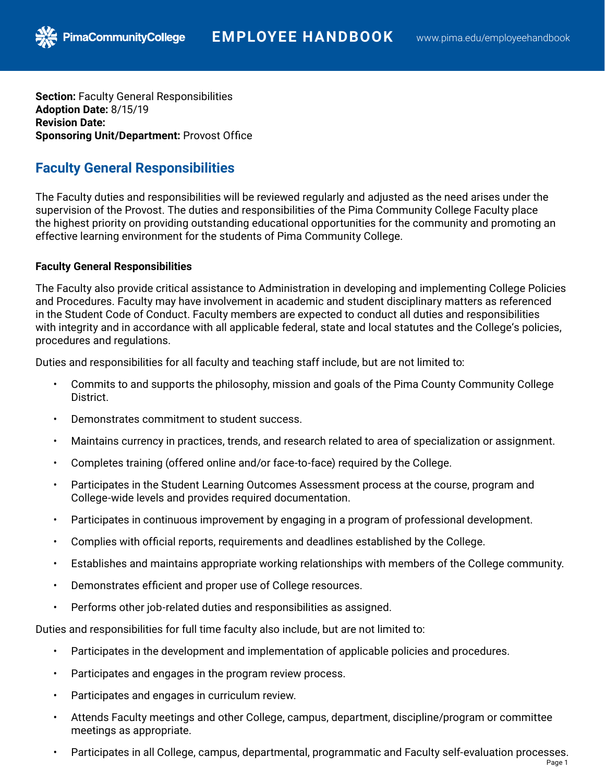**Section:** Faculty General Responsibilities **Adoption Date:** 8/15/19 **Revision Date: Sponsoring Unit/Department:** Provost Office

**PimaCommunityCollege** 

# **Faculty General Responsibilities**

The Faculty duties and responsibilities will be reviewed regularly and adjusted as the need arises under the supervision of the Provost. The duties and responsibilities of the Pima Community College Faculty place the highest priority on providing outstanding educational opportunities for the community and promoting an effective learning environment for the students of Pima Community College.

# **Faculty General Responsibilities**

The Faculty also provide critical assistance to Administration in developing and implementing College Policies and Procedures. Faculty may have involvement in academic and student disciplinary matters as referenced in the Student Code of Conduct. Faculty members are expected to conduct all duties and responsibilities with integrity and in accordance with all applicable federal, state and local statutes and the College's policies, procedures and regulations.

Duties and responsibilities for all faculty and teaching staff include, but are not limited to:

- Commits to and supports the philosophy, mission and goals of the Pima County Community College District.
- Demonstrates commitment to student success.
- Maintains currency in practices, trends, and research related to area of specialization or assignment.
- Completes training (offered online and/or face-to-face) required by the College.
- Participates in the Student Learning Outcomes Assessment process at the course, program and College-wide levels and provides required documentation.
- Participates in continuous improvement by engaging in a program of professional development.
- Complies with official reports, requirements and deadlines established by the College.
- Establishes and maintains appropriate working relationships with members of the College community.
- Demonstrates efficient and proper use of College resources.
- Performs other job-related duties and responsibilities as assigned.

Duties and responsibilities for full time faculty also include, but are not limited to:

- Participates in the development and implementation of applicable policies and procedures.
- Participates and engages in the program review process.
- Participates and engages in curriculum review.
- Attends Faculty meetings and other College, campus, department, discipline/program or committee meetings as appropriate.
- Participates in all College, campus, departmental, programmatic and Faculty self-evaluation processes.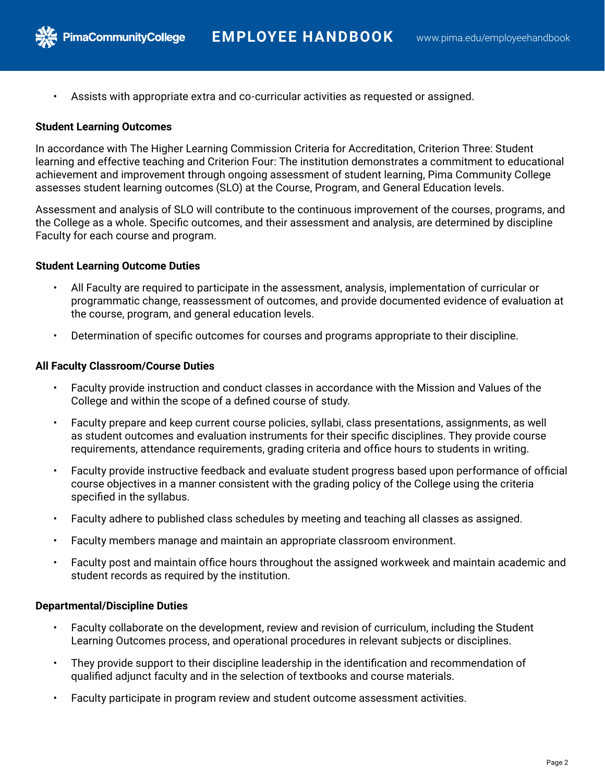• Assists with appropriate extra and co-curricular activities as requested or assigned.

### **Student Learning Outcomes**

**PimaCommunityCollege** 

In accordance with The Higher Learning Commission Criteria for Accreditation, Criterion Three: Student learning and effective teaching and Criterion Four: The institution demonstrates a commitment to educational achievement and improvement through ongoing assessment of student learning, Pima Community College assesses student learning outcomes (SLO) at the Course, Program, and General Education levels.

Assessment and analysis of SLO will contribute to the continuous improvement of the courses, programs, and the College as a whole. Specific outcomes, and their assessment and analysis, are determined by discipline Faculty for each course and program.

### **Student Learning Outcome Duties**

- All Faculty are required to participate in the assessment, analysis, implementation of curricular or programmatic change, reassessment of outcomes, and provide documented evidence of evaluation at the course, program, and general education levels.
- Determination of specific outcomes for courses and programs appropriate to their discipline.

#### **All Faculty Classroom/Course Duties**

- Faculty provide instruction and conduct classes in accordance with the Mission and Values of the College and within the scope of a defined course of study.
- Faculty prepare and keep current course policies, syllabi, class presentations, assignments, as well as student outcomes and evaluation instruments for their specific disciplines. They provide course requirements, attendance requirements, grading criteria and office hours to students in writing.
- Faculty provide instructive feedback and evaluate student progress based upon performance of official course objectives in a manner consistent with the grading policy of the College using the criteria specified in the syllabus.
- Faculty adhere to published class schedules by meeting and teaching all classes as assigned.
- Faculty members manage and maintain an appropriate classroom environment.
- Faculty post and maintain office hours throughout the assigned workweek and maintain academic and student records as required by the institution.

#### **Departmental/Discipline Duties**

- Faculty collaborate on the development, review and revision of curriculum, including the Student Learning Outcomes process, and operational procedures in relevant subjects or disciplines.
- They provide support to their discipline leadership in the identification and recommendation of qualified adjunct faculty and in the selection of textbooks and course materials.
- Faculty participate in program review and student outcome assessment activities.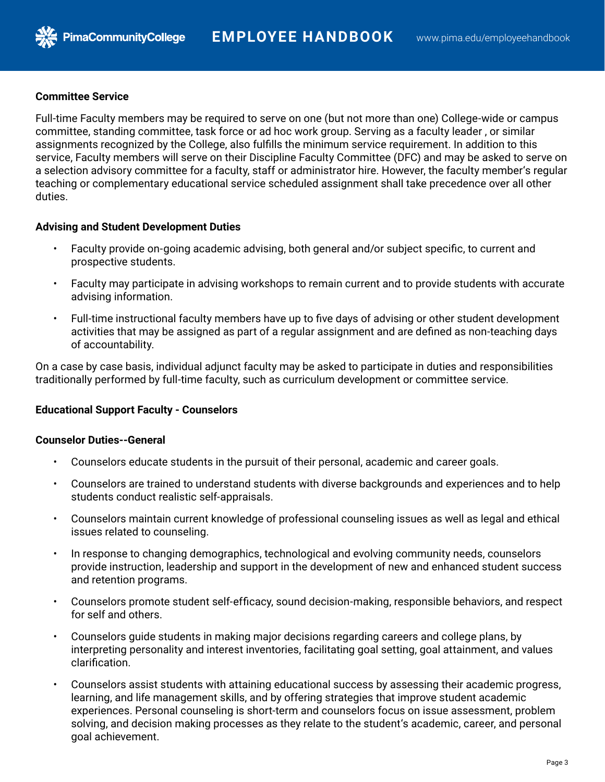### **Committee Service**

Full-time Faculty members may be required to serve on one (but not more than one) College-wide or campus committee, standing committee, task force or ad hoc work group. Serving as a faculty leader , or similar assignments recognized by the College, also fulfills the minimum service requirement. In addition to this service, Faculty members will serve on their Discipline Faculty Committee (DFC) and may be asked to serve on a selection advisory committee for a faculty, staff or administrator hire. However, the faculty member's regular teaching or complementary educational service scheduled assignment shall take precedence over all other duties.

# **Advising and Student Development Duties**

- Faculty provide on-going academic advising, both general and/or subject specific, to current and prospective students.
- Faculty may participate in advising workshops to remain current and to provide students with accurate advising information.
- Full-time instructional faculty members have up to five days of advising or other student development activities that may be assigned as part of a regular assignment and are defined as non-teaching days of accountability.

On a case by case basis, individual adjunct faculty may be asked to participate in duties and responsibilities traditionally performed by full-time faculty, such as curriculum development or committee service.

# **Educational Support Faculty - Counselors**

### **Counselor Duties--General**

- Counselors educate students in the pursuit of their personal, academic and career goals.
- Counselors are trained to understand students with diverse backgrounds and experiences and to help students conduct realistic self-appraisals.
- Counselors maintain current knowledge of professional counseling issues as well as legal and ethical issues related to counseling.
- In response to changing demographics, technological and evolving community needs, counselors provide instruction, leadership and support in the development of new and enhanced student success and retention programs.
- Counselors promote student self-efficacy, sound decision-making, responsible behaviors, and respect for self and others.
- Counselors guide students in making major decisions regarding careers and college plans, by interpreting personality and interest inventories, facilitating goal setting, goal attainment, and values clarification.
- Counselors assist students with attaining educational success by assessing their academic progress, learning, and life management skills, and by offering strategies that improve student academic experiences. Personal counseling is short-term and counselors focus on issue assessment, problem solving, and decision making processes as they relate to the student's academic, career, and personal goal achievement.